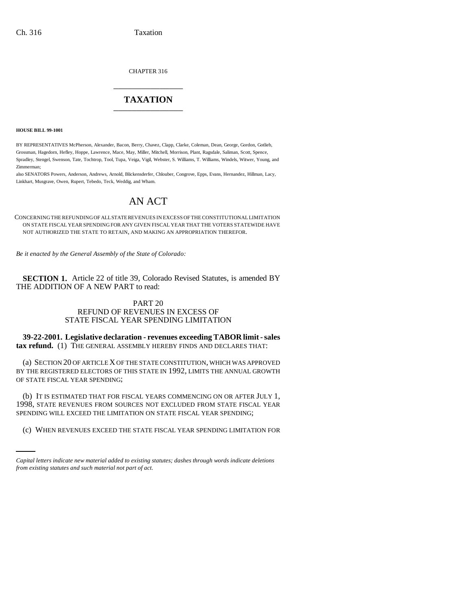CHAPTER 316

# \_\_\_\_\_\_\_\_\_\_\_\_\_\_\_ **TAXATION** \_\_\_\_\_\_\_\_\_\_\_\_\_\_\_

**HOUSE BILL 99-1001** 

BY REPRESENTATIVES McPherson, Alexander, Bacon, Berry, Chavez, Clapp, Clarke, Coleman, Dean, George, Gordon, Gotlieb, Grossman, Hagedorn, Hefley, Hoppe, Lawrence, Mace, May, Miller, Mitchell, Morrison, Plant, Ragsdale, Saliman, Scott, Spence, Spradley, Stengel, Swenson, Tate, Tochtrop, Tool, Tupa, Veiga, Vigil, Webster, S. Williams, T. Williams, Windels, Witwer, Young, and Zimmerman;

also SENATORS Powers, Anderson, Andrews, Arnold, Blickensderfer, Chlouber, Congrove, Epps, Evans, Hernandez, Hillman, Lacy, Linkhart, Musgrave, Owen, Rupert, Tebedo, Teck, Weddig, and Wham.

# AN ACT

CONCERNING THE REFUNDING OF ALL STATE REVENUES IN EXCESS OF THE CONSTITUTIONAL LIMITATION ON STATE FISCAL YEAR SPENDING FOR ANY GIVEN FISCAL YEAR THAT THE VOTERS STATEWIDE HAVE NOT AUTHORIZED THE STATE TO RETAIN, AND MAKING AN APPROPRIATION THEREFOR.

*Be it enacted by the General Assembly of the State of Colorado:*

**SECTION 1.** Article 22 of title 39, Colorado Revised Statutes, is amended BY THE ADDITION OF A NEW PART to read:

# PART 20 REFUND OF REVENUES IN EXCESS OF STATE FISCAL YEAR SPENDING LIMITATION

**39-22-2001. Legislative declaration - revenues exceeding TABOR limit - sales tax refund.** (1) THE GENERAL ASSEMBLY HEREBY FINDS AND DECLARES THAT:

(a) SECTION 20 OF ARTICLE X OF THE STATE CONSTITUTION, WHICH WAS APPROVED BY THE REGISTERED ELECTORS OF THIS STATE IN 1992, LIMITS THE ANNUAL GROWTH OF STATE FISCAL YEAR SPENDING;

SPENDING WILL EXCEED THE LIMITATION ON STATE FISCAL YEAR SPENDING; (b) IT IS ESTIMATED THAT FOR FISCAL YEARS COMMENCING ON OR AFTER JULY 1, 1998, STATE REVENUES FROM SOURCES NOT EXCLUDED FROM STATE FISCAL YEAR

(c) WHEN REVENUES EXCEED THE STATE FISCAL YEAR SPENDING LIMITATION FOR

*Capital letters indicate new material added to existing statutes; dashes through words indicate deletions from existing statutes and such material not part of act.*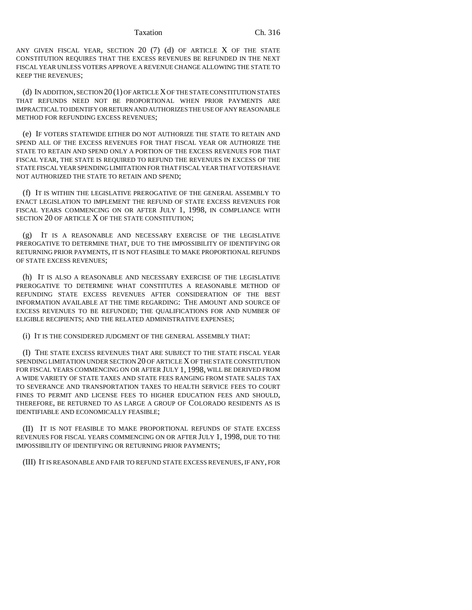ANY GIVEN FISCAL YEAR, SECTION 20 (7) (d) OF ARTICLE X OF THE STATE CONSTITUTION REQUIRES THAT THE EXCESS REVENUES BE REFUNDED IN THE NEXT FISCAL YEAR UNLESS VOTERS APPROVE A REVENUE CHANGE ALLOWING THE STATE TO KEEP THE REVENUES;

(d) IN ADDITION, SECTION 20 (1) OF ARTICLE X OF THE STATE CONSTITUTION STATES THAT REFUNDS NEED NOT BE PROPORTIONAL WHEN PRIOR PAYMENTS ARE IMPRACTICAL TO IDENTIFY OR RETURN AND AUTHORIZES THE USE OF ANY REASONABLE METHOD FOR REFUNDING EXCESS REVENUES;

(e) IF VOTERS STATEWIDE EITHER DO NOT AUTHORIZE THE STATE TO RETAIN AND SPEND ALL OF THE EXCESS REVENUES FOR THAT FISCAL YEAR OR AUTHORIZE THE STATE TO RETAIN AND SPEND ONLY A PORTION OF THE EXCESS REVENUES FOR THAT FISCAL YEAR, THE STATE IS REQUIRED TO REFUND THE REVENUES IN EXCESS OF THE STATE FISCAL YEAR SPENDING LIMITATION FOR THAT FISCAL YEAR THAT VOTERS HAVE NOT AUTHORIZED THE STATE TO RETAIN AND SPEND;

(f) IT IS WITHIN THE LEGISLATIVE PREROGATIVE OF THE GENERAL ASSEMBLY TO ENACT LEGISLATION TO IMPLEMENT THE REFUND OF STATE EXCESS REVENUES FOR FISCAL YEARS COMMENCING ON OR AFTER JULY 1, 1998, IN COMPLIANCE WITH SECTION 20 OF ARTICLE X OF THE STATE CONSTITUTION;

(g) IT IS A REASONABLE AND NECESSARY EXERCISE OF THE LEGISLATIVE PREROGATIVE TO DETERMINE THAT, DUE TO THE IMPOSSIBILITY OF IDENTIFYING OR RETURNING PRIOR PAYMENTS, IT IS NOT FEASIBLE TO MAKE PROPORTIONAL REFUNDS OF STATE EXCESS REVENUES;

(h) IT IS ALSO A REASONABLE AND NECESSARY EXERCISE OF THE LEGISLATIVE PREROGATIVE TO DETERMINE WHAT CONSTITUTES A REASONABLE METHOD OF REFUNDING STATE EXCESS REVENUES AFTER CONSIDERATION OF THE BEST INFORMATION AVAILABLE AT THE TIME REGARDING: THE AMOUNT AND SOURCE OF EXCESS REVENUES TO BE REFUNDED; THE QUALIFICATIONS FOR AND NUMBER OF ELIGIBLE RECIPIENTS; AND THE RELATED ADMINISTRATIVE EXPENSES;

(i) IT IS THE CONSIDERED JUDGMENT OF THE GENERAL ASSEMBLY THAT:

(I) THE STATE EXCESS REVENUES THAT ARE SUBJECT TO THE STATE FISCAL YEAR SPENDING LIMITATION UNDER SECTION 20 OF ARTICLE X OF THE STATE CONSTITUTION FOR FISCAL YEARS COMMENCING ON OR AFTER JULY 1, 1998, WILL BE DERIVED FROM A WIDE VARIETY OF STATE TAXES AND STATE FEES RANGING FROM STATE SALES TAX TO SEVERANCE AND TRANSPORTATION TAXES TO HEALTH SERVICE FEES TO COURT FINES TO PERMIT AND LICENSE FEES TO HIGHER EDUCATION FEES AND SHOULD, THEREFORE, BE RETURNED TO AS LARGE A GROUP OF COLORADO RESIDENTS AS IS IDENTIFIABLE AND ECONOMICALLY FEASIBLE;

(II) IT IS NOT FEASIBLE TO MAKE PROPORTIONAL REFUNDS OF STATE EXCESS REVENUES FOR FISCAL YEARS COMMENCING ON OR AFTER JULY 1, 1998, DUE TO THE IMPOSSIBILITY OF IDENTIFYING OR RETURNING PRIOR PAYMENTS;

(III) IT IS REASONABLE AND FAIR TO REFUND STATE EXCESS REVENUES, IF ANY, FOR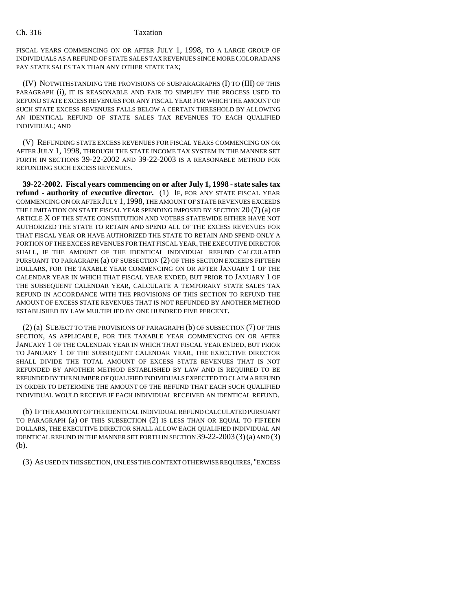FISCAL YEARS COMMENCING ON OR AFTER JULY 1, 1998, TO A LARGE GROUP OF INDIVIDUALS AS A REFUND OF STATE SALES TAX REVENUES SINCE MORE COLORADANS PAY STATE SALES TAX THAN ANY OTHER STATE TAX;

(IV) NOTWITHSTANDING THE PROVISIONS OF SUBPARAGRAPHS (I) TO (III) OF THIS PARAGRAPH (i), IT IS REASONABLE AND FAIR TO SIMPLIFY THE PROCESS USED TO REFUND STATE EXCESS REVENUES FOR ANY FISCAL YEAR FOR WHICH THE AMOUNT OF SUCH STATE EXCESS REVENUES FALLS BELOW A CERTAIN THRESHOLD BY ALLOWING AN IDENTICAL REFUND OF STATE SALES TAX REVENUES TO EACH QUALIFIED INDIVIDUAL; AND

(V) REFUNDING STATE EXCESS REVENUES FOR FISCAL YEARS COMMENCING ON OR AFTER JULY 1, 1998, THROUGH THE STATE INCOME TAX SYSTEM IN THE MANNER SET FORTH IN SECTIONS 39-22-2002 AND 39-22-2003 IS A REASONABLE METHOD FOR REFUNDING SUCH EXCESS REVENUES.

**39-22-2002. Fiscal years commencing on or after July 1, 1998 - state sales tax refund - authority of executive director.** (1) IF, FOR ANY STATE FISCAL YEAR COMMENCING ON OR AFTER JULY 1,1998, THE AMOUNT OF STATE REVENUES EXCEEDS THE LIMITATION ON STATE FISCAL YEAR SPENDING IMPOSED BY SECTION 20 (7) (a) OF ARTICLE X OF THE STATE CONSTITUTION AND VOTERS STATEWIDE EITHER HAVE NOT AUTHORIZED THE STATE TO RETAIN AND SPEND ALL OF THE EXCESS REVENUES FOR THAT FISCAL YEAR OR HAVE AUTHORIZED THE STATE TO RETAIN AND SPEND ONLY A PORTION OF THE EXCESS REVENUES FOR THAT FISCAL YEAR, THE EXECUTIVE DIRECTOR SHALL, IF THE AMOUNT OF THE IDENTICAL INDIVIDUAL REFUND CALCULATED PURSUANT TO PARAGRAPH (a) OF SUBSECTION (2) OF THIS SECTION EXCEEDS FIFTEEN DOLLARS, FOR THE TAXABLE YEAR COMMENCING ON OR AFTER JANUARY 1 OF THE CALENDAR YEAR IN WHICH THAT FISCAL YEAR ENDED, BUT PRIOR TO JANUARY 1 OF THE SUBSEQUENT CALENDAR YEAR, CALCULATE A TEMPORARY STATE SALES TAX REFUND IN ACCORDANCE WITH THE PROVISIONS OF THIS SECTION TO REFUND THE AMOUNT OF EXCESS STATE REVENUES THAT IS NOT REFUNDED BY ANOTHER METHOD ESTABLISHED BY LAW MULTIPLIED BY ONE HUNDRED FIVE PERCENT.

(2) (a) SUBJECT TO THE PROVISIONS OF PARAGRAPH (b) OF SUBSECTION (7) OF THIS SECTION, AS APPLICABLE, FOR THE TAXABLE YEAR COMMENCING ON OR AFTER JANUARY 1 OF THE CALENDAR YEAR IN WHICH THAT FISCAL YEAR ENDED, BUT PRIOR TO JANUARY 1 OF THE SUBSEQUENT CALENDAR YEAR, THE EXECUTIVE DIRECTOR SHALL DIVIDE THE TOTAL AMOUNT OF EXCESS STATE REVENUES THAT IS NOT REFUNDED BY ANOTHER METHOD ESTABLISHED BY LAW AND IS REQUIRED TO BE REFUNDED BY THE NUMBER OF QUALIFIED INDIVIDUALS EXPECTED TO CLAIM A REFUND IN ORDER TO DETERMINE THE AMOUNT OF THE REFUND THAT EACH SUCH QUALIFIED INDIVIDUAL WOULD RECEIVE IF EACH INDIVIDUAL RECEIVED AN IDENTICAL REFUND.

(b) IF THE AMOUNT OF THE IDENTICAL INDIVIDUAL REFUND CALCULATED PURSUANT TO PARAGRAPH (a) OF THIS SUBSECTION (2) IS LESS THAN OR EQUAL TO FIFTEEN DOLLARS, THE EXECUTIVE DIRECTOR SHALL ALLOW EACH QUALIFIED INDIVIDUAL AN IDENTICAL REFUND IN THE MANNER SET FORTH IN SECTION 39-22-2003 (3)(a) AND (3) (b).

(3) AS USED IN THIS SECTION, UNLESS THE CONTEXT OTHERWISE REQUIRES, "EXCESS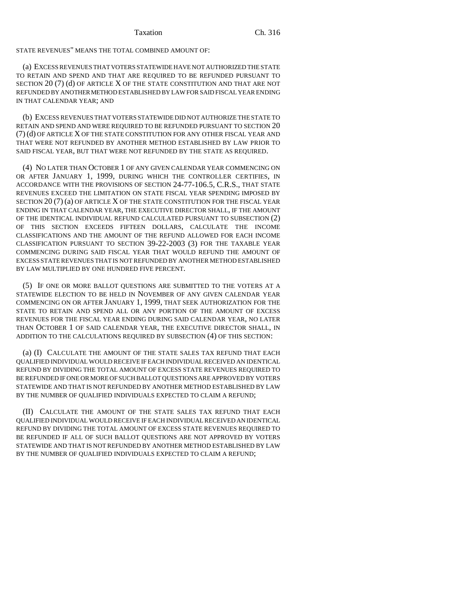STATE REVENUES" MEANS THE TOTAL COMBINED AMOUNT OF:

(a) EXCESS REVENUES THAT VOTERS STATEWIDE HAVE NOT AUTHORIZED THE STATE TO RETAIN AND SPEND AND THAT ARE REQUIRED TO BE REFUNDED PURSUANT TO SECTION 20 (7) (d) OF ARTICLE X OF THE STATE CONSTITUTION AND THAT ARE NOT REFUNDED BY ANOTHER METHOD ESTABLISHED BY LAW FOR SAID FISCAL YEAR ENDING IN THAT CALENDAR YEAR; AND

(b) EXCESS REVENUES THAT VOTERS STATEWIDE DID NOT AUTHORIZE THE STATE TO RETAIN AND SPEND AND WERE REQUIRED TO BE REFUNDED PURSUANT TO SECTION 20 (7)(d) OF ARTICLE X OF THE STATE CONSTITUTION FOR ANY OTHER FISCAL YEAR AND THAT WERE NOT REFUNDED BY ANOTHER METHOD ESTABLISHED BY LAW PRIOR TO SAID FISCAL YEAR, BUT THAT WERE NOT REFUNDED BY THE STATE AS REQUIRED.

(4) NO LATER THAN OCTOBER 1 OF ANY GIVEN CALENDAR YEAR COMMENCING ON OR AFTER JANUARY 1, 1999, DURING WHICH THE CONTROLLER CERTIFIES, IN ACCORDANCE WITH THE PROVISIONS OF SECTION 24-77-106.5, C.R.S., THAT STATE REVENUES EXCEED THE LIMITATION ON STATE FISCAL YEAR SPENDING IMPOSED BY SECTION 20 (7) (a) OF ARTICLE X OF THE STATE CONSTITUTION FOR THE FISCAL YEAR ENDING IN THAT CALENDAR YEAR, THE EXECUTIVE DIRECTOR SHALL, IF THE AMOUNT OF THE IDENTICAL INDIVIDUAL REFUND CALCULATED PURSUANT TO SUBSECTION (2) OF THIS SECTION EXCEEDS FIFTEEN DOLLARS, CALCULATE THE INCOME CLASSIFICATIONS AND THE AMOUNT OF THE REFUND ALLOWED FOR EACH INCOME CLASSIFICATION PURSUANT TO SECTION 39-22-2003 (3) FOR THE TAXABLE YEAR COMMENCING DURING SAID FISCAL YEAR THAT WOULD REFUND THE AMOUNT OF EXCESS STATE REVENUES THAT IS NOT REFUNDED BY ANOTHER METHOD ESTABLISHED BY LAW MULTIPLIED BY ONE HUNDRED FIVE PERCENT.

(5) IF ONE OR MORE BALLOT QUESTIONS ARE SUBMITTED TO THE VOTERS AT A STATEWIDE ELECTION TO BE HELD IN NOVEMBER OF ANY GIVEN CALENDAR YEAR COMMENCING ON OR AFTER JANUARY 1, 1999, THAT SEEK AUTHORIZATION FOR THE STATE TO RETAIN AND SPEND ALL OR ANY PORTION OF THE AMOUNT OF EXCESS REVENUES FOR THE FISCAL YEAR ENDING DURING SAID CALENDAR YEAR, NO LATER THAN OCTOBER 1 OF SAID CALENDAR YEAR, THE EXECUTIVE DIRECTOR SHALL, IN ADDITION TO THE CALCULATIONS REQUIRED BY SUBSECTION (4) OF THIS SECTION:

(a) (I) CALCULATE THE AMOUNT OF THE STATE SALES TAX REFUND THAT EACH QUALIFIED INDIVIDUAL WOULD RECEIVE IF EACH INDIVIDUAL RECEIVED AN IDENTICAL REFUND BY DIVIDING THE TOTAL AMOUNT OF EXCESS STATE REVENUES REQUIRED TO BE REFUNDED IF ONE OR MORE OF SUCH BALLOT QUESTIONS ARE APPROVED BY VOTERS STATEWIDE AND THAT IS NOT REFUNDED BY ANOTHER METHOD ESTABLISHED BY LAW BY THE NUMBER OF QUALIFIED INDIVIDUALS EXPECTED TO CLAIM A REFUND;

(II) CALCULATE THE AMOUNT OF THE STATE SALES TAX REFUND THAT EACH QUALIFIED INDIVIDUAL WOULD RECEIVE IF EACH INDIVIDUAL RECEIVED AN IDENTICAL REFUND BY DIVIDING THE TOTAL AMOUNT OF EXCESS STATE REVENUES REQUIRED TO BE REFUNDED IF ALL OF SUCH BALLOT QUESTIONS ARE NOT APPROVED BY VOTERS STATEWIDE AND THAT IS NOT REFUNDED BY ANOTHER METHOD ESTABLISHED BY LAW BY THE NUMBER OF QUALIFIED INDIVIDUALS EXPECTED TO CLAIM A REFUND;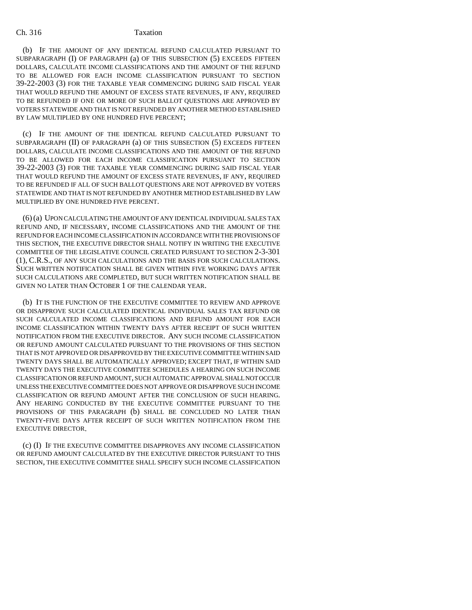## Ch. 316 Taxation

(b) IF THE AMOUNT OF ANY IDENTICAL REFUND CALCULATED PURSUANT TO SUBPARAGRAPH (I) OF PARAGRAPH (a) OF THIS SUBSECTION (5) EXCEEDS FIFTEEN DOLLARS, CALCULATE INCOME CLASSIFICATIONS AND THE AMOUNT OF THE REFUND TO BE ALLOWED FOR EACH INCOME CLASSIFICATION PURSUANT TO SECTION 39-22-2003 (3) FOR THE TAXABLE YEAR COMMENCING DURING SAID FISCAL YEAR THAT WOULD REFUND THE AMOUNT OF EXCESS STATE REVENUES, IF ANY, REQUIRED TO BE REFUNDED IF ONE OR MORE OF SUCH BALLOT QUESTIONS ARE APPROVED BY VOTERS STATEWIDE AND THAT IS NOT REFUNDED BY ANOTHER METHOD ESTABLISHED BY LAW MULTIPLIED BY ONE HUNDRED FIVE PERCENT;

(c) IF THE AMOUNT OF THE IDENTICAL REFUND CALCULATED PURSUANT TO SUBPARAGRAPH (II) OF PARAGRAPH (a) OF THIS SUBSECTION (5) EXCEEDS FIFTEEN DOLLARS, CALCULATE INCOME CLASSIFICATIONS AND THE AMOUNT OF THE REFUND TO BE ALLOWED FOR EACH INCOME CLASSIFICATION PURSUANT TO SECTION 39-22-2003 (3) FOR THE TAXABLE YEAR COMMENCING DURING SAID FISCAL YEAR THAT WOULD REFUND THE AMOUNT OF EXCESS STATE REVENUES, IF ANY, REQUIRED TO BE REFUNDED IF ALL OF SUCH BALLOT QUESTIONS ARE NOT APPROVED BY VOTERS STATEWIDE AND THAT IS NOT REFUNDED BY ANOTHER METHOD ESTABLISHED BY LAW MULTIPLIED BY ONE HUNDRED FIVE PERCENT.

(6) (a) UPON CALCULATING THE AMOUNT OF ANY IDENTICAL INDIVIDUAL SALES TAX REFUND AND, IF NECESSARY, INCOME CLASSIFICATIONS AND THE AMOUNT OF THE REFUND FOR EACH INCOME CLASSIFICATION IN ACCORDANCE WITH THE PROVISIONS OF THIS SECTION, THE EXECUTIVE DIRECTOR SHALL NOTIFY IN WRITING THE EXECUTIVE COMMITTEE OF THE LEGISLATIVE COUNCIL CREATED PURSUANT TO SECTION 2-3-301 (1), C.R.S., OF ANY SUCH CALCULATIONS AND THE BASIS FOR SUCH CALCULATIONS. SUCH WRITTEN NOTIFICATION SHALL BE GIVEN WITHIN FIVE WORKING DAYS AFTER SUCH CALCULATIONS ARE COMPLETED, BUT SUCH WRITTEN NOTIFICATION SHALL BE GIVEN NO LATER THAN OCTOBER 1 OF THE CALENDAR YEAR.

(b) IT IS THE FUNCTION OF THE EXECUTIVE COMMITTEE TO REVIEW AND APPROVE OR DISAPPROVE SUCH CALCULATED IDENTICAL INDIVIDUAL SALES TAX REFUND OR SUCH CALCULATED INCOME CLASSIFICATIONS AND REFUND AMOUNT FOR EACH INCOME CLASSIFICATION WITHIN TWENTY DAYS AFTER RECEIPT OF SUCH WRITTEN NOTIFICATION FROM THE EXECUTIVE DIRECTOR. ANY SUCH INCOME CLASSIFICATION OR REFUND AMOUNT CALCULATED PURSUANT TO THE PROVISIONS OF THIS SECTION THAT IS NOT APPROVED OR DISAPPROVED BY THE EXECUTIVE COMMITTEE WITHIN SAID TWENTY DAYS SHALL BE AUTOMATICALLY APPROVED; EXCEPT THAT, IF WITHIN SAID TWENTY DAYS THE EXECUTIVE COMMITTEE SCHEDULES A HEARING ON SUCH INCOME CLASSIFICATION OR REFUND AMOUNT, SUCH AUTOMATIC APPROVAL SHALL NOT OCCUR UNLESS THE EXECUTIVE COMMITTEE DOES NOT APPROVE OR DISAPPROVE SUCH INCOME CLASSIFICATION OR REFUND AMOUNT AFTER THE CONCLUSION OF SUCH HEARING. ANY HEARING CONDUCTED BY THE EXECUTIVE COMMITTEE PURSUANT TO THE PROVISIONS OF THIS PARAGRAPH (b) SHALL BE CONCLUDED NO LATER THAN TWENTY-FIVE DAYS AFTER RECEIPT OF SUCH WRITTEN NOTIFICATION FROM THE EXECUTIVE DIRECTOR.

(c) (I) IF THE EXECUTIVE COMMITTEE DISAPPROVES ANY INCOME CLASSIFICATION OR REFUND AMOUNT CALCULATED BY THE EXECUTIVE DIRECTOR PURSUANT TO THIS SECTION, THE EXECUTIVE COMMITTEE SHALL SPECIFY SUCH INCOME CLASSIFICATION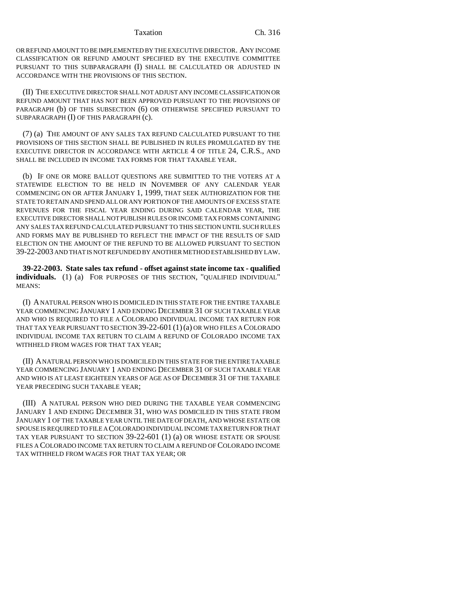OR REFUND AMOUNT TO BE IMPLEMENTED BY THE EXECUTIVE DIRECTOR. ANY INCOME CLASSIFICATION OR REFUND AMOUNT SPECIFIED BY THE EXECUTIVE COMMITTEE PURSUANT TO THIS SUBPARAGRAPH (I) SHALL BE CALCULATED OR ADJUSTED IN ACCORDANCE WITH THE PROVISIONS OF THIS SECTION.

(II) THE EXECUTIVE DIRECTOR SHALL NOT ADJUST ANY INCOME CLASSIFICATION OR REFUND AMOUNT THAT HAS NOT BEEN APPROVED PURSUANT TO THE PROVISIONS OF PARAGRAPH (b) OF THIS SUBSECTION (6) OR OTHERWISE SPECIFIED PURSUANT TO SUBPARAGRAPH (I) OF THIS PARAGRAPH (c).

(7) (a) THE AMOUNT OF ANY SALES TAX REFUND CALCULATED PURSUANT TO THE PROVISIONS OF THIS SECTION SHALL BE PUBLISHED IN RULES PROMULGATED BY THE EXECUTIVE DIRECTOR IN ACCORDANCE WITH ARTICLE 4 OF TITLE 24, C.R.S., AND SHALL BE INCLUDED IN INCOME TAX FORMS FOR THAT TAXABLE YEAR.

(b) IF ONE OR MORE BALLOT QUESTIONS ARE SUBMITTED TO THE VOTERS AT A STATEWIDE ELECTION TO BE HELD IN NOVEMBER OF ANY CALENDAR YEAR COMMENCING ON OR AFTER JANUARY 1, 1999, THAT SEEK AUTHORIZATION FOR THE STATE TO RETAIN AND SPEND ALL OR ANY PORTION OF THE AMOUNTS OF EXCESS STATE REVENUES FOR THE FISCAL YEAR ENDING DURING SAID CALENDAR YEAR, THE EXECUTIVE DIRECTOR SHALL NOT PUBLISH RULES OR INCOME TAX FORMS CONTAINING ANY SALES TAX REFUND CALCULATED PURSUANT TO THIS SECTION UNTIL SUCH RULES AND FORMS MAY BE PUBLISHED TO REFLECT THE IMPACT OF THE RESULTS OF SAID ELECTION ON THE AMOUNT OF THE REFUND TO BE ALLOWED PURSUANT TO SECTION 39-22-2003 AND THAT IS NOT REFUNDED BY ANOTHER METHOD ESTABLISHED BY LAW.

**39-22-2003. State sales tax refund - offset against state income tax - qualified individuals.** (1) (a) FOR PURPOSES OF THIS SECTION, "QUALIFIED INDIVIDUAL" MEANS:

(I) A NATURAL PERSON WHO IS DOMICILED IN THIS STATE FOR THE ENTIRE TAXABLE YEAR COMMENCING JANUARY 1 AND ENDING DECEMBER 31 OF SUCH TAXABLE YEAR AND WHO IS REQUIRED TO FILE A COLORADO INDIVIDUAL INCOME TAX RETURN FOR THAT TAX YEAR PURSUANT TO SECTION 39-22-601 (1)(a) OR WHO FILES A COLORADO INDIVIDUAL INCOME TAX RETURN TO CLAIM A REFUND OF COLORADO INCOME TAX WITHHELD FROM WAGES FOR THAT TAX YEAR;

(II) A NATURAL PERSON WHO IS DOMICILED IN THIS STATE FOR THE ENTIRE TAXABLE YEAR COMMENCING JANUARY 1 AND ENDING DECEMBER 31 OF SUCH TAXABLE YEAR AND WHO IS AT LEAST EIGHTEEN YEARS OF AGE AS OF DECEMBER 31 OF THE TAXABLE YEAR PRECEDING SUCH TAXABLE YEAR;

(III) A NATURAL PERSON WHO DIED DURING THE TAXABLE YEAR COMMENCING JANUARY 1 AND ENDING DECEMBER 31, WHO WAS DOMICILED IN THIS STATE FROM JANUARY 1 OF THE TAXABLE YEAR UNTIL THE DATE OF DEATH, AND WHOSE ESTATE OR SPOUSE IS REQUIRED TO FILE A COLORADO INDIVIDUAL INCOME TAX RETURN FOR THAT TAX YEAR PURSUANT TO SECTION 39-22-601 (1) (a) OR WHOSE ESTATE OR SPOUSE FILES A COLORADO INCOME TAX RETURN TO CLAIM A REFUND OF COLORADO INCOME TAX WITHHELD FROM WAGES FOR THAT TAX YEAR; OR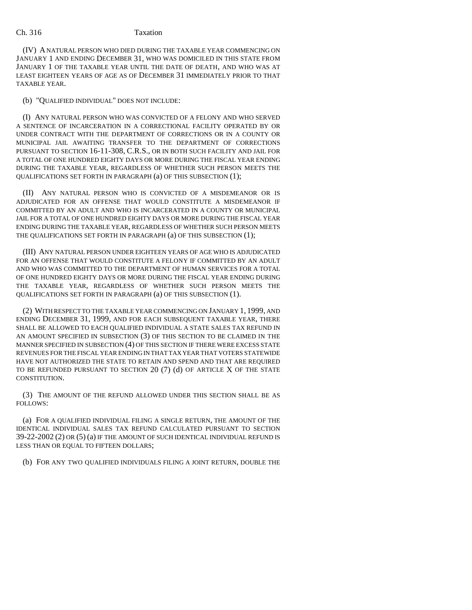## Ch. 316 Taxation

(IV) A NATURAL PERSON WHO DIED DURING THE TAXABLE YEAR COMMENCING ON JANUARY 1 AND ENDING DECEMBER 31, WHO WAS DOMICILED IN THIS STATE FROM JANUARY 1 OF THE TAXABLE YEAR UNTIL THE DATE OF DEATH, AND WHO WAS AT LEAST EIGHTEEN YEARS OF AGE AS OF DECEMBER 31 IMMEDIATELY PRIOR TO THAT TAXABLE YEAR.

(b) "QUALIFIED INDIVIDUAL" DOES NOT INCLUDE:

(I) ANY NATURAL PERSON WHO WAS CONVICTED OF A FELONY AND WHO SERVED A SENTENCE OF INCARCERATION IN A CORRECTIONAL FACILITY OPERATED BY OR UNDER CONTRACT WITH THE DEPARTMENT OF CORRECTIONS OR IN A COUNTY OR MUNICIPAL JAIL AWAITING TRANSFER TO THE DEPARTMENT OF CORRECTIONS PURSUANT TO SECTION 16-11-308, C.R.S., OR IN BOTH SUCH FACILITY AND JAIL FOR A TOTAL OF ONE HUNDRED EIGHTY DAYS OR MORE DURING THE FISCAL YEAR ENDING DURING THE TAXABLE YEAR, REGARDLESS OF WHETHER SUCH PERSON MEETS THE QUALIFICATIONS SET FORTH IN PARAGRAPH (a) OF THIS SUBSECTION (1);

(II) ANY NATURAL PERSON WHO IS CONVICTED OF A MISDEMEANOR OR IS ADJUDICATED FOR AN OFFENSE THAT WOULD CONSTITUTE A MISDEMEANOR IF COMMITTED BY AN ADULT AND WHO IS INCARCERATED IN A COUNTY OR MUNICIPAL JAIL FOR A TOTAL OF ONE HUNDRED EIGHTY DAYS OR MORE DURING THE FISCAL YEAR ENDING DURING THE TAXABLE YEAR, REGARDLESS OF WHETHER SUCH PERSON MEETS THE QUALIFICATIONS SET FORTH IN PARAGRAPH (a) OF THIS SUBSECTION (1);

(III) ANY NATURAL PERSON UNDER EIGHTEEN YEARS OF AGE WHO IS ADJUDICATED FOR AN OFFENSE THAT WOULD CONSTITUTE A FELONY IF COMMITTED BY AN ADULT AND WHO WAS COMMITTED TO THE DEPARTMENT OF HUMAN SERVICES FOR A TOTAL OF ONE HUNDRED EIGHTY DAYS OR MORE DURING THE FISCAL YEAR ENDING DURING THE TAXABLE YEAR, REGARDLESS OF WHETHER SUCH PERSON MEETS THE QUALIFICATIONS SET FORTH IN PARAGRAPH (a) OF THIS SUBSECTION (1).

(2) WITH RESPECT TO THE TAXABLE YEAR COMMENCING ON JANUARY 1, 1999, AND ENDING DECEMBER 31, 1999, AND FOR EACH SUBSEQUENT TAXABLE YEAR, THERE SHALL BE ALLOWED TO EACH QUALIFIED INDIVIDUAL A STATE SALES TAX REFUND IN AN AMOUNT SPECIFIED IN SUBSECTION (3) OF THIS SECTION TO BE CLAIMED IN THE MANNER SPECIFIED IN SUBSECTION (4) OF THIS SECTION IF THERE WERE EXCESS STATE REVENUES FOR THE FISCAL YEAR ENDING IN THAT TAX YEAR THAT VOTERS STATEWIDE HAVE NOT AUTHORIZED THE STATE TO RETAIN AND SPEND AND THAT ARE REQUIRED TO BE REFUNDED PURSUANT TO SECTION 20  $(7)$  (d) OF ARTICLE X OF THE STATE CONSTITUTION.

(3) THE AMOUNT OF THE REFUND ALLOWED UNDER THIS SECTION SHALL BE AS FOLLOWS:

(a) FOR A QUALIFIED INDIVIDUAL FILING A SINGLE RETURN, THE AMOUNT OF THE IDENTICAL INDIVIDUAL SALES TAX REFUND CALCULATED PURSUANT TO SECTION 39-22-2002 (2) OR (5) (a) IF THE AMOUNT OF SUCH IDENTICAL INDIVIDUAL REFUND IS LESS THAN OR EQUAL TO FIFTEEN DOLLARS;

(b) FOR ANY TWO QUALIFIED INDIVIDUALS FILING A JOINT RETURN, DOUBLE THE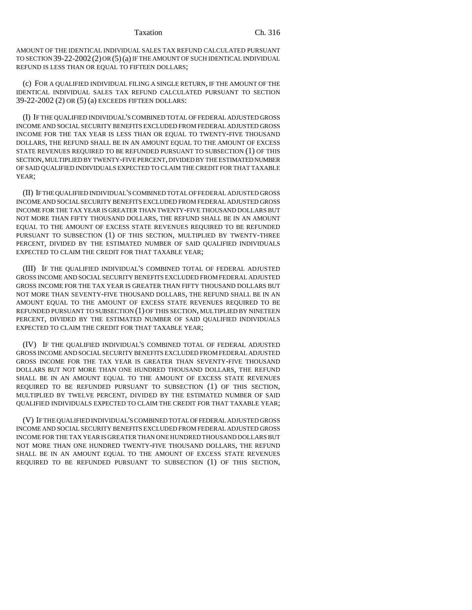AMOUNT OF THE IDENTICAL INDIVIDUAL SALES TAX REFUND CALCULATED PURSUANT TO SECTION 39-22-2002 (2) OR (5)(a) IF THE AMOUNT OF SUCH IDENTICAL INDIVIDUAL REFUND IS LESS THAN OR EQUAL TO FIFTEEN DOLLARS;

(c) FOR A QUALIFIED INDIVIDUAL FILING A SINGLE RETURN, IF THE AMOUNT OF THE IDENTICAL INDIVIDUAL SALES TAX REFUND CALCULATED PURSUANT TO SECTION 39-22-2002 (2) OR (5) (a) EXCEEDS FIFTEEN DOLLARS:

(I) IF THE QUALIFIED INDIVIDUAL'S COMBINED TOTAL OF FEDERAL ADJUSTED GROSS INCOME AND SOCIAL SECURITY BENEFITS EXCLUDED FROM FEDERAL ADJUSTED GROSS INCOME FOR THE TAX YEAR IS LESS THAN OR EQUAL TO TWENTY-FIVE THOUSAND DOLLARS, THE REFUND SHALL BE IN AN AMOUNT EQUAL TO THE AMOUNT OF EXCESS STATE REVENUES REQUIRED TO BE REFUNDED PURSUANT TO SUBSECTION (1) OF THIS SECTION, MULTIPLIED BY TWENTY-FIVE PERCENT, DIVIDED BY THE ESTIMATED NUMBER OF SAID QUALIFIED INDIVIDUALS EXPECTED TO CLAIM THE CREDIT FOR THAT TAXABLE YEAR;

(II) IF THE QUALIFIED INDIVIDUAL'S COMBINED TOTAL OF FEDERAL ADJUSTED GROSS INCOME AND SOCIAL SECURITY BENEFITS EXCLUDED FROM FEDERAL ADJUSTED GROSS INCOME FOR THE TAX YEAR IS GREATER THAN TWENTY-FIVE THOUSAND DOLLARS BUT NOT MORE THAN FIFTY THOUSAND DOLLARS, THE REFUND SHALL BE IN AN AMOUNT EQUAL TO THE AMOUNT OF EXCESS STATE REVENUES REQUIRED TO BE REFUNDED PURSUANT TO SUBSECTION (1) OF THIS SECTION, MULTIPLIED BY TWENTY-THREE PERCENT, DIVIDED BY THE ESTIMATED NUMBER OF SAID QUALIFIED INDIVIDUALS EXPECTED TO CLAIM THE CREDIT FOR THAT TAXABLE YEAR;

(III) IF THE QUALIFIED INDIVIDUAL'S COMBINED TOTAL OF FEDERAL ADJUSTED GROSS INCOME AND SOCIAL SECURITY BENEFITS EXCLUDED FROM FEDERAL ADJUSTED GROSS INCOME FOR THE TAX YEAR IS GREATER THAN FIFTY THOUSAND DOLLARS BUT NOT MORE THAN SEVENTY-FIVE THOUSAND DOLLARS, THE REFUND SHALL BE IN AN AMOUNT EQUAL TO THE AMOUNT OF EXCESS STATE REVENUES REQUIRED TO BE REFUNDED PURSUANT TO SUBSECTION (1) OF THIS SECTION, MULTIPLIED BY NINETEEN PERCENT, DIVIDED BY THE ESTIMATED NUMBER OF SAID QUALIFIED INDIVIDUALS EXPECTED TO CLAIM THE CREDIT FOR THAT TAXABLE YEAR;

(IV) IF THE QUALIFIED INDIVIDUAL'S COMBINED TOTAL OF FEDERAL ADJUSTED GROSS INCOME AND SOCIAL SECURITY BENEFITS EXCLUDED FROM FEDERAL ADJUSTED GROSS INCOME FOR THE TAX YEAR IS GREATER THAN SEVENTY-FIVE THOUSAND DOLLARS BUT NOT MORE THAN ONE HUNDRED THOUSAND DOLLARS, THE REFUND SHALL BE IN AN AMOUNT EOUAL TO THE AMOUNT OF EXCESS STATE REVENUES REQUIRED TO BE REFUNDED PURSUANT TO SUBSECTION (1) OF THIS SECTION, MULTIPLIED BY TWELVE PERCENT, DIVIDED BY THE ESTIMATED NUMBER OF SAID QUALIFIED INDIVIDUALS EXPECTED TO CLAIM THE CREDIT FOR THAT TAXABLE YEAR;

(V) IF THE QUALIFIED INDIVIDUAL'S COMBINED TOTAL OF FEDERAL ADJUSTED GROSS INCOME AND SOCIAL SECURITY BENEFITS EXCLUDED FROM FEDERAL ADJUSTED GROSS INCOME FOR THE TAX YEAR IS GREATER THAN ONE HUNDRED THOUSAND DOLLARS BUT NOT MORE THAN ONE HUNDRED TWENTY-FIVE THOUSAND DOLLARS, THE REFUND SHALL BE IN AN AMOUNT EQUAL TO THE AMOUNT OF EXCESS STATE REVENUES REQUIRED TO BE REFUNDED PURSUANT TO SUBSECTION (1) OF THIS SECTION,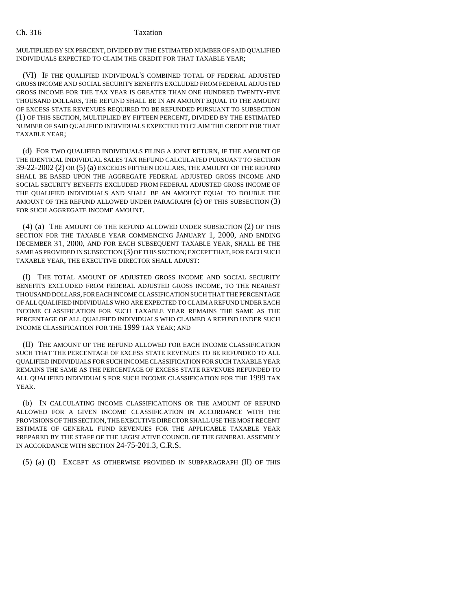MULTIPLIED BY SIX PERCENT, DIVIDED BY THE ESTIMATED NUMBER OF SAID QUALIFIED INDIVIDUALS EXPECTED TO CLAIM THE CREDIT FOR THAT TAXABLE YEAR;

(VI) IF THE QUALIFIED INDIVIDUAL'S COMBINED TOTAL OF FEDERAL ADJUSTED GROSS INCOME AND SOCIAL SECURITY BENEFITS EXCLUDED FROM FEDERAL ADJUSTED GROSS INCOME FOR THE TAX YEAR IS GREATER THAN ONE HUNDRED TWENTY-FIVE THOUSAND DOLLARS, THE REFUND SHALL BE IN AN AMOUNT EQUAL TO THE AMOUNT OF EXCESS STATE REVENUES REQUIRED TO BE REFUNDED PURSUANT TO SUBSECTION (1) OF THIS SECTION, MULTIPLIED BY FIFTEEN PERCENT, DIVIDED BY THE ESTIMATED NUMBER OF SAID QUALIFIED INDIVIDUALS EXPECTED TO CLAIM THE CREDIT FOR THAT TAXABLE YEAR;

(d) FOR TWO QUALIFIED INDIVIDUALS FILING A JOINT RETURN, IF THE AMOUNT OF THE IDENTICAL INDIVIDUAL SALES TAX REFUND CALCULATED PURSUANT TO SECTION 39-22-2002 (2) OR (5) (a) EXCEEDS FIFTEEN DOLLARS, THE AMOUNT OF THE REFUND SHALL BE BASED UPON THE AGGREGATE FEDERAL ADJUSTED GROSS INCOME AND SOCIAL SECURITY BENEFITS EXCLUDED FROM FEDERAL ADJUSTED GROSS INCOME OF THE QUALIFIED INDIVIDUALS AND SHALL BE AN AMOUNT EQUAL TO DOUBLE THE AMOUNT OF THE REFUND ALLOWED UNDER PARAGRAPH (c) OF THIS SUBSECTION (3) FOR SUCH AGGREGATE INCOME AMOUNT.

(4) (a) THE AMOUNT OF THE REFUND ALLOWED UNDER SUBSECTION (2) OF THIS SECTION FOR THE TAXABLE YEAR COMMENCING JANUARY 1, 2000, AND ENDING DECEMBER 31, 2000, AND FOR EACH SUBSEQUENT TAXABLE YEAR, SHALL BE THE SAME AS PROVIDED IN SUBSECTION (3) OF THIS SECTION; EXCEPT THAT, FOR EACH SUCH TAXABLE YEAR, THE EXECUTIVE DIRECTOR SHALL ADJUST:

(I) THE TOTAL AMOUNT OF ADJUSTED GROSS INCOME AND SOCIAL SECURITY BENEFITS EXCLUDED FROM FEDERAL ADJUSTED GROSS INCOME, TO THE NEAREST THOUSAND DOLLARS, FOR EACH INCOME CLASSIFICATION SUCH THAT THE PERCENTAGE OF ALL QUALIFIED INDIVIDUALS WHO ARE EXPECTED TO CLAIM A REFUND UNDER EACH INCOME CLASSIFICATION FOR SUCH TAXABLE YEAR REMAINS THE SAME AS THE PERCENTAGE OF ALL QUALIFIED INDIVIDUALS WHO CLAIMED A REFUND UNDER SUCH INCOME CLASSIFICATION FOR THE 1999 TAX YEAR; AND

(II) THE AMOUNT OF THE REFUND ALLOWED FOR EACH INCOME CLASSIFICATION SUCH THAT THE PERCENTAGE OF EXCESS STATE REVENUES TO BE REFUNDED TO ALL QUALIFIED INDIVIDUALS FOR SUCH INCOME CLASSIFICATION FOR SUCH TAXABLE YEAR REMAINS THE SAME AS THE PERCENTAGE OF EXCESS STATE REVENUES REFUNDED TO ALL QUALIFIED INDIVIDUALS FOR SUCH INCOME CLASSIFICATION FOR THE 1999 TAX YEAR.

(b) IN CALCULATING INCOME CLASSIFICATIONS OR THE AMOUNT OF REFUND ALLOWED FOR A GIVEN INCOME CLASSIFICATION IN ACCORDANCE WITH THE PROVISIONS OF THIS SECTION, THE EXECUTIVE DIRECTOR SHALL USE THE MOST RECENT ESTIMATE OF GENERAL FUND REVENUES FOR THE APPLICABLE TAXABLE YEAR PREPARED BY THE STAFF OF THE LEGISLATIVE COUNCIL OF THE GENERAL ASSEMBLY IN ACCORDANCE WITH SECTION 24-75-201.3, C.R.S.

(5) (a) (I) EXCEPT AS OTHERWISE PROVIDED IN SUBPARAGRAPH (II) OF THIS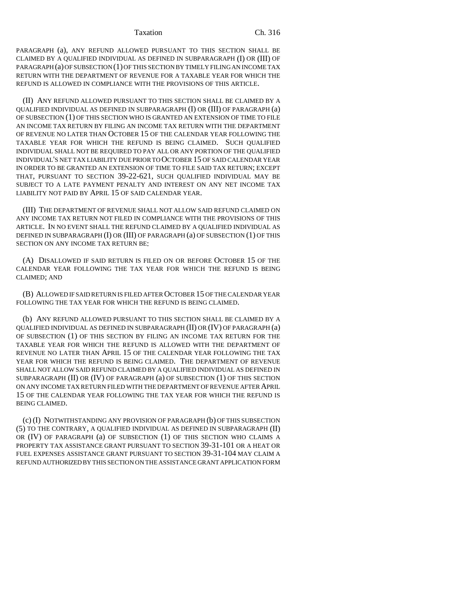PARAGRAPH (a), ANY REFUND ALLOWED PURSUANT TO THIS SECTION SHALL BE CLAIMED BY A QUALIFIED INDIVIDUAL AS DEFINED IN SUBPARAGRAPH (I) OR (III) OF PARAGRAPH (a) OF SUBSECTION (1) OF THIS SECTION BY TIMELY FILING AN INCOME TAX RETURN WITH THE DEPARTMENT OF REVENUE FOR A TAXABLE YEAR FOR WHICH THE REFUND IS ALLOWED IN COMPLIANCE WITH THE PROVISIONS OF THIS ARTICLE.

(II) ANY REFUND ALLOWED PURSUANT TO THIS SECTION SHALL BE CLAIMED BY A QUALIFIED INDIVIDUAL AS DEFINED IN SUBPARAGRAPH (I) OR (III) OF PARAGRAPH (a) OF SUBSECTION (1) OF THIS SECTION WHO IS GRANTED AN EXTENSION OF TIME TO FILE AN INCOME TAX RETURN BY FILING AN INCOME TAX RETURN WITH THE DEPARTMENT OF REVENUE NO LATER THAN OCTOBER 15 OF THE CALENDAR YEAR FOLLOWING THE TAXABLE YEAR FOR WHICH THE REFUND IS BEING CLAIMED. SUCH QUALIFIED INDIVIDUAL SHALL NOT BE REQUIRED TO PAY ALL OR ANY PORTION OF THE QUALIFIED INDIVIDUAL'S NET TAX LIABILITY DUE PRIOR TO OCTOBER 15 OF SAID CALENDAR YEAR IN ORDER TO BE GRANTED AN EXTENSION OF TIME TO FILE SAID TAX RETURN; EXCEPT THAT, PURSUANT TO SECTION 39-22-621, SUCH QUALIFIED INDIVIDUAL MAY BE SUBJECT TO A LATE PAYMENT PENALTY AND INTEREST ON ANY NET INCOME TAX LIABILITY NOT PAID BY APRIL 15 OF SAID CALENDAR YEAR.

(III) THE DEPARTMENT OF REVENUE SHALL NOT ALLOW SAID REFUND CLAIMED ON ANY INCOME TAX RETURN NOT FILED IN COMPLIANCE WITH THE PROVISIONS OF THIS ARTICLE. IN NO EVENT SHALL THE REFUND CLAIMED BY A QUALIFIED INDIVIDUAL AS DEFINED IN SUBPARAGRAPH (I) OR (III) OF PARAGRAPH (a) OF SUBSECTION (1) OF THIS SECTION ON ANY INCOME TAX RETURN BE:

(A) DISALLOWED IF SAID RETURN IS FILED ON OR BEFORE OCTOBER 15 OF THE CALENDAR YEAR FOLLOWING THE TAX YEAR FOR WHICH THE REFUND IS BEING CLAIMED; AND

(B) ALLOWED IF SAID RETURN IS FILED AFTER OCTOBER 15 OF THE CALENDAR YEAR FOLLOWING THE TAX YEAR FOR WHICH THE REFUND IS BEING CLAIMED.

(b) ANY REFUND ALLOWED PURSUANT TO THIS SECTION SHALL BE CLAIMED BY A QUALIFIED INDIVIDUAL AS DEFINED IN SUBPARAGRAPH (II) OR (IV) OF PARAGRAPH (a) OF SUBSECTION (1) OF THIS SECTION BY FILING AN INCOME TAX RETURN FOR THE TAXABLE YEAR FOR WHICH THE REFUND IS ALLOWED WITH THE DEPARTMENT OF REVENUE NO LATER THAN APRIL 15 OF THE CALENDAR YEAR FOLLOWING THE TAX YEAR FOR WHICH THE REFUND IS BEING CLAIMED. THE DEPARTMENT OF REVENUE SHALL NOT ALLOW SAID REFUND CLAIMED BY A QUALIFIED INDIVIDUAL AS DEFINED IN SUBPARAGRAPH (II) OR (IV) OF PARAGRAPH (a) OF SUBSECTION (1) OF THIS SECTION ON ANY INCOME TAX RETURN FILED WITH THE DEPARTMENT OF REVENUE AFTER APRIL 15 OF THE CALENDAR YEAR FOLLOWING THE TAX YEAR FOR WHICH THE REFUND IS BEING CLAIMED.

(c) (I) NOTWITHSTANDING ANY PROVISION OF PARAGRAPH (b) OF THIS SUBSECTION (5) TO THE CONTRARY, A QUALIFIED INDIVIDUAL AS DEFINED IN SUBPARAGRAPH (II) OR (IV) OF PARAGRAPH (a) OF SUBSECTION (1) OF THIS SECTION WHO CLAIMS A PROPERTY TAX ASSISTANCE GRANT PURSUANT TO SECTION 39-31-101 OR A HEAT OR FUEL EXPENSES ASSISTANCE GRANT PURSUANT TO SECTION 39-31-104 MAY CLAIM A REFUND AUTHORIZED BY THIS SECTION ON THE ASSISTANCE GRANT APPLICATION FORM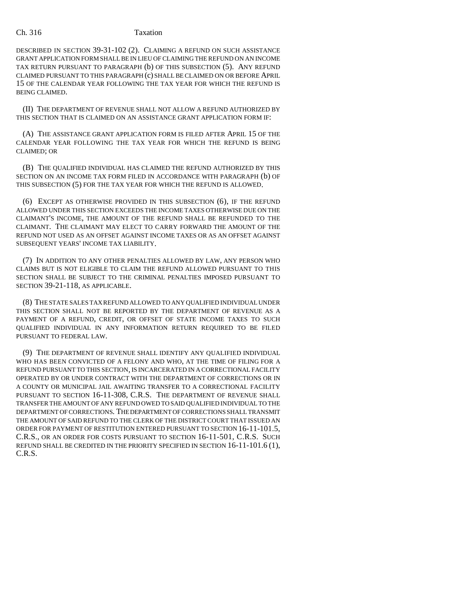# Ch. 316 Taxation

DESCRIBED IN SECTION 39-31-102 (2). CLAIMING A REFUND ON SUCH ASSISTANCE GRANT APPLICATION FORM SHALL BE IN LIEU OF CLAIMING THE REFUND ON AN INCOME TAX RETURN PURSUANT TO PARAGRAPH (b) OF THIS SUBSECTION (5). ANY REFUND CLAIMED PURSUANT TO THIS PARAGRAPH (c) SHALL BE CLAIMED ON OR BEFORE APRIL 15 OF THE CALENDAR YEAR FOLLOWING THE TAX YEAR FOR WHICH THE REFUND IS BEING CLAIMED.

(II) THE DEPARTMENT OF REVENUE SHALL NOT ALLOW A REFUND AUTHORIZED BY THIS SECTION THAT IS CLAIMED ON AN ASSISTANCE GRANT APPLICATION FORM IF:

(A) THE ASSISTANCE GRANT APPLICATION FORM IS FILED AFTER APRIL 15 OF THE CALENDAR YEAR FOLLOWING THE TAX YEAR FOR WHICH THE REFUND IS BEING CLAIMED; OR

(B) THE QUALIFIED INDIVIDUAL HAS CLAIMED THE REFUND AUTHORIZED BY THIS SECTION ON AN INCOME TAX FORM FILED IN ACCORDANCE WITH PARAGRAPH (b) OF THIS SUBSECTION (5) FOR THE TAX YEAR FOR WHICH THE REFUND IS ALLOWED.

(6) EXCEPT AS OTHERWISE PROVIDED IN THIS SUBSECTION (6), IF THE REFUND ALLOWED UNDER THIS SECTION EXCEEDS THE INCOME TAXES OTHERWISE DUE ON THE CLAIMANT'S INCOME, THE AMOUNT OF THE REFUND SHALL BE REFUNDED TO THE CLAIMANT. THE CLAIMANT MAY ELECT TO CARRY FORWARD THE AMOUNT OF THE REFUND NOT USED AS AN OFFSET AGAINST INCOME TAXES OR AS AN OFFSET AGAINST SUBSEQUENT YEARS' INCOME TAX LIABILITY.

(7) IN ADDITION TO ANY OTHER PENALTIES ALLOWED BY LAW, ANY PERSON WHO CLAIMS BUT IS NOT ELIGIBLE TO CLAIM THE REFUND ALLOWED PURSUANT TO THIS SECTION SHALL BE SUBJECT TO THE CRIMINAL PENALTIES IMPOSED PURSUANT TO SECTION 39-21-118, AS APPLICABLE.

(8) THE STATE SALES TAX REFUND ALLOWED TO ANY QUALIFIED INDIVIDUAL UNDER THIS SECTION SHALL NOT BE REPORTED BY THE DEPARTMENT OF REVENUE AS A PAYMENT OF A REFUND, CREDIT, OR OFFSET OF STATE INCOME TAXES TO SUCH QUALIFIED INDIVIDUAL IN ANY INFORMATION RETURN REQUIRED TO BE FILED PURSUANT TO FEDERAL LAW.

(9) THE DEPARTMENT OF REVENUE SHALL IDENTIFY ANY QUALIFIED INDIVIDUAL WHO HAS BEEN CONVICTED OF A FELONY AND WHO, AT THE TIME OF FILING FOR A REFUND PURSUANT TO THIS SECTION, IS INCARCERATED IN A CORRECTIONAL FACILITY OPERATED BY OR UNDER CONTRACT WITH THE DEPARTMENT OF CORRECTIONS OR IN A COUNTY OR MUNICIPAL JAIL AWAITING TRANSFER TO A CORRECTIONAL FACILITY PURSUANT TO SECTION 16-11-308, C.R.S. THE DEPARTMENT OF REVENUE SHALL TRANSFER THE AMOUNT OF ANY REFUND OWED TO SAID QUALIFIED INDIVIDUAL TO THE DEPARTMENT OF CORRECTIONS. THE DEPARTMENT OF CORRECTIONS SHALL TRANSMIT THE AMOUNT OF SAID REFUND TO THE CLERK OF THE DISTRICT COURT THAT ISSUED AN ORDER FOR PAYMENT OF RESTITUTION ENTERED PURSUANT TO SECTION 16-11-101.5, C.R.S., OR AN ORDER FOR COSTS PURSUANT TO SECTION 16-11-501, C.R.S. SUCH REFUND SHALL BE CREDITED IN THE PRIORITY SPECIFIED IN SECTION 16-11-101.6 (1), C.R.S.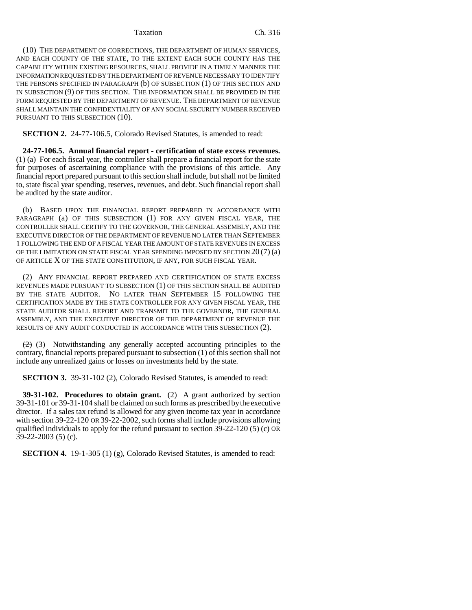(10) THE DEPARTMENT OF CORRECTIONS, THE DEPARTMENT OF HUMAN SERVICES, AND EACH COUNTY OF THE STATE, TO THE EXTENT EACH SUCH COUNTY HAS THE CAPABILITY WITHIN EXISTING RESOURCES, SHALL PROVIDE IN A TIMELY MANNER THE INFORMATION REQUESTED BY THE DEPARTMENT OF REVENUE NECESSARY TO IDENTIFY THE PERSONS SPECIFIED IN PARAGRAPH (b) OF SUBSECTION (1) OF THIS SECTION AND IN SUBSECTION (9) OF THIS SECTION. THE INFORMATION SHALL BE PROVIDED IN THE FORM REQUESTED BY THE DEPARTMENT OF REVENUE. THE DEPARTMENT OF REVENUE SHALL MAINTAIN THE CONFIDENTIALITY OF ANY SOCIAL SECURITY NUMBER RECEIVED PURSUANT TO THIS SUBSECTION (10).

**SECTION 2.** 24-77-106.5, Colorado Revised Statutes, is amended to read:

**24-77-106.5. Annual financial report - certification of state excess revenues.** (1) (a) For each fiscal year, the controller shall prepare a financial report for the state for purposes of ascertaining compliance with the provisions of this article. Any financial report prepared pursuant to this section shall include, but shall not be limited to, state fiscal year spending, reserves, revenues, and debt. Such financial report shall be audited by the state auditor.

(b) BASED UPON THE FINANCIAL REPORT PREPARED IN ACCORDANCE WITH PARAGRAPH (a) OF THIS SUBSECTION (1) FOR ANY GIVEN FISCAL YEAR, THE CONTROLLER SHALL CERTIFY TO THE GOVERNOR, THE GENERAL ASSEMBLY, AND THE EXECUTIVE DIRECTOR OF THE DEPARTMENT OF REVENUE NO LATER THAN SEPTEMBER 1 FOLLOWING THE END OF A FISCAL YEAR THE AMOUNT OF STATE REVENUES IN EXCESS OF THE LIMITATION ON STATE FISCAL YEAR SPENDING IMPOSED BY SECTION 20 (7) (a) OF ARTICLE X OF THE STATE CONSTITUTION, IF ANY, FOR SUCH FISCAL YEAR.

(2) ANY FINANCIAL REPORT PREPARED AND CERTIFICATION OF STATE EXCESS REVENUES MADE PURSUANT TO SUBSECTION (1) OF THIS SECTION SHALL BE AUDITED BY THE STATE AUDITOR. NO LATER THAN SEPTEMBER 15 FOLLOWING THE CERTIFICATION MADE BY THE STATE CONTROLLER FOR ANY GIVEN FISCAL YEAR, THE STATE AUDITOR SHALL REPORT AND TRANSMIT TO THE GOVERNOR, THE GENERAL ASSEMBLY, AND THE EXECUTIVE DIRECTOR OF THE DEPARTMENT OF REVENUE THE RESULTS OF ANY AUDIT CONDUCTED IN ACCORDANCE WITH THIS SUBSECTION (2).

 $(2)$  (3) Notwithstanding any generally accepted accounting principles to the contrary, financial reports prepared pursuant to subsection (1) of this section shall not include any unrealized gains or losses on investments held by the state.

**SECTION 3.** 39-31-102 (2), Colorado Revised Statutes, is amended to read:

**39-31-102. Procedures to obtain grant.** (2) A grant authorized by section 39-31-101 or 39-31-104 shall be claimed on such forms as prescribed by the executive director. If a sales tax refund is allowed for any given income tax year in accordance with section 39-22-120 OR 39-22-2002, such forms shall include provisions allowing qualified individuals to apply for the refund pursuant to section 39-22-120 (5) (c) OR 39-22-2003 (5) (c).

**SECTION 4.** 19-1-305 (1) (g), Colorado Revised Statutes, is amended to read: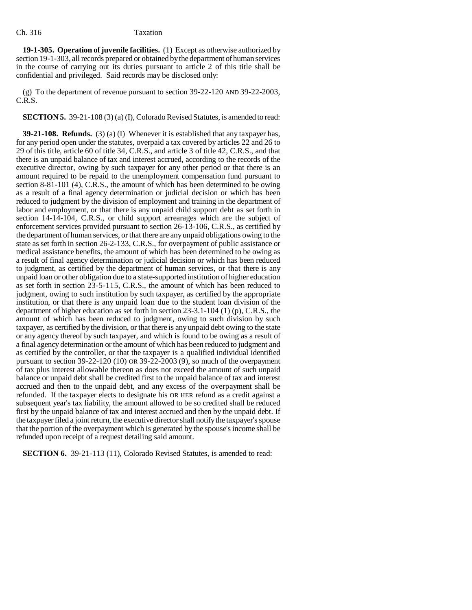**19-1-305. Operation of juvenile facilities.** (1) Except as otherwise authorized by section 19-1-303, all records prepared or obtained by the department of human services in the course of carrying out its duties pursuant to article 2 of this title shall be confidential and privileged. Said records may be disclosed only:

(g) To the department of revenue pursuant to section 39-22-120 AND 39-22-2003, C.R.S.

**SECTION 5.** 39-21-108 (3) (a) (I), Colorado Revised Statutes, is amended to read:

**39-21-108. Refunds.** (3) (a) (I) Whenever it is established that any taxpayer has, for any period open under the statutes, overpaid a tax covered by articles 22 and 26 to 29 of this title, article 60 of title 34, C.R.S., and article 3 of title 42, C.R.S., and that there is an unpaid balance of tax and interest accrued, according to the records of the executive director, owing by such taxpayer for any other period or that there is an amount required to be repaid to the unemployment compensation fund pursuant to section 8-81-101 (4), C.R.S., the amount of which has been determined to be owing as a result of a final agency determination or judicial decision or which has been reduced to judgment by the division of employment and training in the department of labor and employment, or that there is any unpaid child support debt as set forth in section 14-14-104, C.R.S., or child support arrearages which are the subject of enforcement services provided pursuant to section 26-13-106, C.R.S., as certified by the department of human services, or that there are any unpaid obligations owing to the state as set forth in section 26-2-133, C.R.S., for overpayment of public assistance or medical assistance benefits, the amount of which has been determined to be owing as a result of final agency determination or judicial decision or which has been reduced to judgment, as certified by the department of human services, or that there is any unpaid loan or other obligation due to a state-supported institution of higher education as set forth in section 23-5-115, C.R.S., the amount of which has been reduced to judgment, owing to such institution by such taxpayer, as certified by the appropriate institution, or that there is any unpaid loan due to the student loan division of the department of higher education as set forth in section 23-3.1-104 (1) (p), C.R.S., the amount of which has been reduced to judgment, owing to such division by such taxpayer, as certified by the division, or that there is any unpaid debt owing to the state or any agency thereof by such taxpayer, and which is found to be owing as a result of a final agency determination or the amount of which has been reduced to judgment and as certified by the controller, or that the taxpayer is a qualified individual identified pursuant to section 39-22-120 (10) OR 39-22-2003 (9), so much of the overpayment of tax plus interest allowable thereon as does not exceed the amount of such unpaid balance or unpaid debt shall be credited first to the unpaid balance of tax and interest accrued and then to the unpaid debt, and any excess of the overpayment shall be refunded. If the taxpayer elects to designate his OR HER refund as a credit against a subsequent year's tax liability, the amount allowed to be so credited shall be reduced first by the unpaid balance of tax and interest accrued and then by the unpaid debt. If the taxpayer filed a joint return, the executive director shall notify the taxpayer's spouse that the portion of the overpayment which is generated by the spouse's income shall be refunded upon receipt of a request detailing said amount.

**SECTION 6.** 39-21-113 (11), Colorado Revised Statutes, is amended to read: